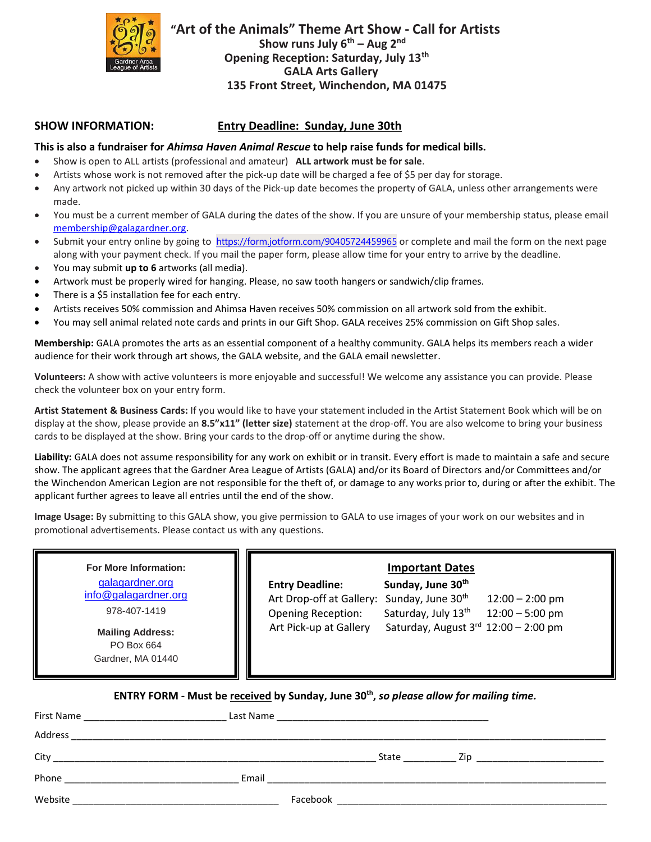

 **"Art of the Animals" Theme Art Show - Call for Artists Show runs July 6 th – Aug 2 nd Opening Reception: Saturday, July 13th GALA Arts Gallery 135 Front Street, Winchendon, MA 01475**

## **SHOW INFORMATION: Entry Deadline: Sunday, June 30th**

## **This is also a fundraiser for** *Ahimsa Haven Animal Rescue* **to help raise funds for medical bills.**

- Show is open to ALL artists (professional and amateur) **ALL artwork must be for sale**.
- Artists whose work is not removed after the pick-up date will be charged a fee of \$5 per day for storage.
- Any artwork not picked up within 30 days of the Pick-up date becomes the property of GALA, unless other arrangements were made.
- You must be a current member of GALA during the dates of the show. If you are unsure of your membership status, please email [membership@galagardner.org.](mailto:membership@galagardner.org)
- Submit your entry online by going to <https://form.jotform.com/90405724459965> or complete and mail the form on the next page along with your payment check. If you mail the paper form, please allow time for your entry to arrive by the deadline.
- You may submit **up to 6** artworks (all media).
- Artwork must be properly wired for hanging. Please, no saw tooth hangers or sandwich/clip frames.
- There is a \$5 installation fee for each entry.
- Artists receives 50% commission and Ahimsa Haven receives 50% commission on all artwork sold from the exhibit.
- You may sell animal related note cards and prints in our Gift Shop. GALA receives 25% commission on Gift Shop sales.

**Membership:** GALA promotes the arts as an essential component of a healthy community. GALA helps its members reach a wider audience for their work through art shows, the GALA website, and the GALA email newsletter.

**Volunteers:** A show with active volunteers is more enjoyable and successful! We welcome any assistance you can provide. Please check the volunteer box on your entry form.

**Artist Statement & Business Cards:** If you would like to have your statement included in the Artist Statement Book which will be on display at the show, please provide an **8.5"x11" (letter size)** statement at the drop-off. You are also welcome to bring your business cards to be displayed at the show. Bring your cards to the drop-off or anytime during the show.

**Liability:** GALA does not assume responsibility for any work on exhibit or in transit. Every effort is made to maintain a safe and secure show. The applicant agrees that the Gardner Area League of Artists (GALA) and/or its Board of Directors and/or Committees and/or the Winchendon American Legion are not responsible for the theft of, or damage to any works prior to, during or after the exhibit. The applicant further agrees to leave all entries until the end of the show.

**Image Usage:** By submitting to this GALA show, you give permission to GALA to use images of your work on our websites and in promotional advertisements. Please contact us with any questions.

**For More Information:** [galagardner.org](http://galagardnerevents.weebly.com/) [info@galagardner.org](mailto:info@galagardner.org) 978-407-1419 **Mailing Address:** PO Box 664 Gardner, MA 01440 **Important Dates Entry Deadline: Sunday, June 30th** Art Drop-off at Gallery: Sunday, June 30<sup>th</sup> 12:00 – 2:00 pm Opening Reception: Saturday, July 13<sup>th</sup> 12:00 – 5:00 pm Art Pick-up at Gallery Saturday, August  $3<sup>rd</sup>$  12:00 – 2:00 pm

**ENTRY FORM - Must be received by Sunday, June 30th ,** *so please allow for mailing time.*

| First Name<br><u> 1980 - Jan Samuel Barbara, prima a prima a prima a prima a prima a prima a prima a prima a prima a prima a p</u> |          |       |     |
|------------------------------------------------------------------------------------------------------------------------------------|----------|-------|-----|
| Address<br><u> 1980 - Johann Barn, mars an t-Amerikaansk politiker (* 1908)</u>                                                    |          |       |     |
| City                                                                                                                               |          | State | Zip |
| Phone                                                                                                                              | Email    |       |     |
| Website                                                                                                                            | Facebook |       |     |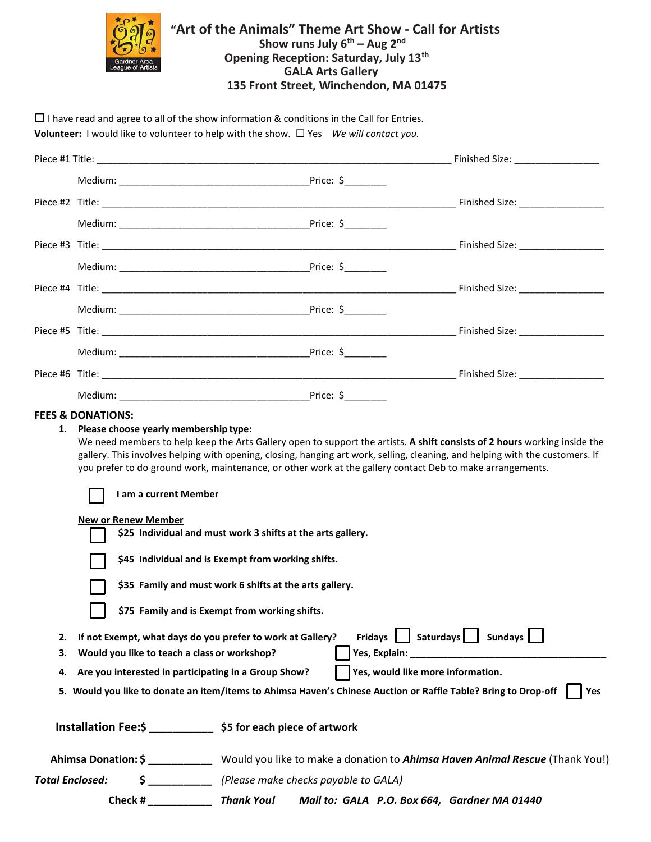

## **"Art of the Animals" Theme Art Show - Call for Artists Show runs July 6 th – Aug 2 nd Opening Reception: Saturday, July 13th GALA Arts Gallery 135 Front Street, Winchendon, MA 01475**

 $\Box$  I have read and agree to all of the show information & conditions in the Call for Entries. **Volunteer:** *I* would like to volunteer to help with the show. □ Yes *We will contact you.* 

|                        |                                                                                                                                                                    | Price: $\frac{1}{2}$                                                                                                                                                                                                                                                                                                                                                                                                                                                                                                                                                                                      |                                        |
|------------------------|--------------------------------------------------------------------------------------------------------------------------------------------------------------------|-----------------------------------------------------------------------------------------------------------------------------------------------------------------------------------------------------------------------------------------------------------------------------------------------------------------------------------------------------------------------------------------------------------------------------------------------------------------------------------------------------------------------------------------------------------------------------------------------------------|----------------------------------------|
|                        |                                                                                                                                                                    |                                                                                                                                                                                                                                                                                                                                                                                                                                                                                                                                                                                                           |                                        |
|                        |                                                                                                                                                                    |                                                                                                                                                                                                                                                                                                                                                                                                                                                                                                                                                                                                           |                                        |
|                        |                                                                                                                                                                    |                                                                                                                                                                                                                                                                                                                                                                                                                                                                                                                                                                                                           |                                        |
|                        |                                                                                                                                                                    |                                                                                                                                                                                                                                                                                                                                                                                                                                                                                                                                                                                                           |                                        |
|                        |                                                                                                                                                                    |                                                                                                                                                                                                                                                                                                                                                                                                                                                                                                                                                                                                           |                                        |
|                        |                                                                                                                                                                    |                                                                                                                                                                                                                                                                                                                                                                                                                                                                                                                                                                                                           |                                        |
|                        |                                                                                                                                                                    |                                                                                                                                                                                                                                                                                                                                                                                                                                                                                                                                                                                                           |                                        |
|                        |                                                                                                                                                                    |                                                                                                                                                                                                                                                                                                                                                                                                                                                                                                                                                                                                           |                                        |
|                        |                                                                                                                                                                    |                                                                                                                                                                                                                                                                                                                                                                                                                                                                                                                                                                                                           |                                        |
|                        |                                                                                                                                                                    |                                                                                                                                                                                                                                                                                                                                                                                                                                                                                                                                                                                                           |                                        |
|                        | Please choose yearly membership type:<br>I am a current Member<br><b>New or Renew Member</b>                                                                       | We need members to help keep the Arts Gallery open to support the artists. A shift consists of 2 hours working inside the<br>gallery. This involves helping with opening, closing, hanging art work, selling, cleaning, and helping with the customers. If<br>you prefer to do ground work, maintenance, or other work at the gallery contact Deb to make arrangements.<br>\$25 Individual and must work 3 shifts at the arts gallery.<br>\$45 Individual and is Exempt from working shifts.<br>\$35 Family and must work 6 shifts at the arts gallery.<br>\$75 Family and is Exempt from working shifts. |                                        |
| 2.<br>3.<br>4.         | If not Exempt, what days do you prefer to work at Gallery?<br>Would you like to teach a class or workshop?<br>Are you interested in participating in a Group Show? | Yes, would like more information.<br>5. Would you like to donate an item/items to Ahimsa Haven's Chinese Auction or Raffle Table? Bring to Drop-off                                                                                                                                                                                                                                                                                                                                                                                                                                                       | Fridays   Saturdays   Sundays  <br>Yes |
|                        |                                                                                                                                                                    | Installation Fee:\$ _____________ \$5 for each piece of artwork                                                                                                                                                                                                                                                                                                                                                                                                                                                                                                                                           |                                        |
|                        | Ahimsa Donation: \$                                                                                                                                                | Would you like to make a donation to Ahimsa Haven Animal Rescue (Thank You!)                                                                                                                                                                                                                                                                                                                                                                                                                                                                                                                              |                                        |
| <b>Total Enclosed:</b> | $\frac{\zeta}{\zeta}$                                                                                                                                              | (Please make checks payable to GALA)                                                                                                                                                                                                                                                                                                                                                                                                                                                                                                                                                                      |                                        |

**Check #** *\_\_\_\_\_\_\_\_\_\_\_ Thank You! Mail to: GALA P.O. Box 664, Gardner MA 01440*